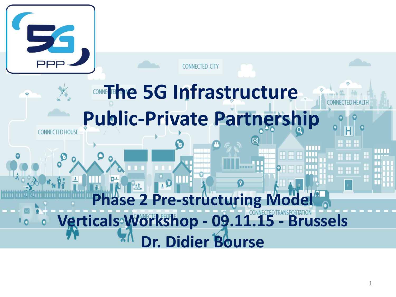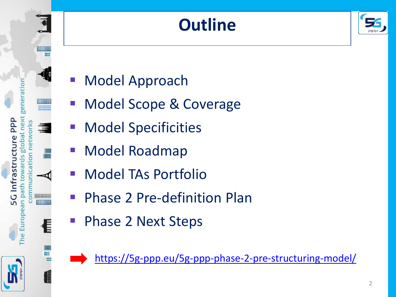# **Outline**



- Model Approach
- Model Scope & Coverage
- Model Specificities
- Model Roadmap

ntrastru

ð

path

Euro

ne

==========

- Model TAs Portfolio
- Phase 2 Pre-definition Plan
- Phase 2 Next Steps

<https://5g-ppp.eu/5g-ppp-phase-2-pre-structuring-model/>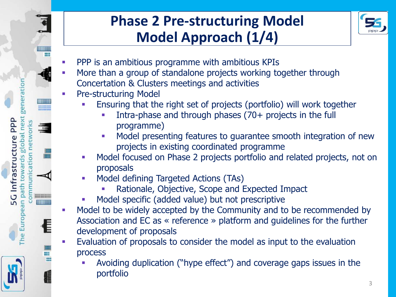

## **Phase 2 Pre-structuring Model Model Approach (1/4)**



- PPP is an ambitious programme with ambitious KPIs
- More than a group of standalone projects working together through Concertation & Clusters meetings and activities
- Pre-structuring Model
	- Ensuring that the right set of projects (portfolio) will work together
		- Intra-phase and through phases (70+ projects in the full programme)
		- **Model presenting features to guarantee smooth integration of new** projects in existing coordinated programme
	- **Model focused on Phase 2 projects portfolio and related projects, not on** proposals
	- Model defining Targeted Actions (TAs)
		- Rationale, Objective, Scope and Expected Impact
	- Model specific (added value) but not prescriptive
- **Model to be widely accepted by the Community and to be recommended by** Association and EC as « reference » platform and guidelines for the further development of proposals
- Evaluation of proposals to consider the model as input to the evaluation process
	- Avoiding duplication ("hype effect") and coverage gaps issues in the portfolio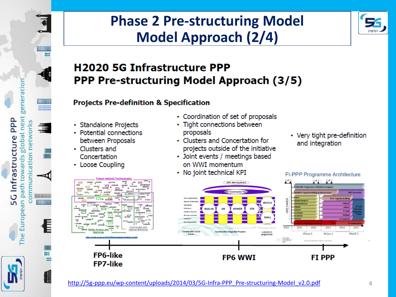

### **Phase 2 Pre-structuring Model Model Approach (2/4)**



#### **H2020 5G Infrastructure PPP PPP Pre-structuring Model Approach (3/5)**

#### **Projects Pre-definition & Specification**

- Standalone Projects
- Potential connections between Proposals
- Clusters and Concertation
- Loose Coupling
- Coordination of set of proposals
- Tight connections between proposals
- Clusters and Concertation for projects outside of the initiative
- Joint events / meetings based on WWI momentum
- No joint technical KPI



[http://5g-ppp.eu/wp-content/uploads/2014/03/5G-Infra-PPP\\_Pre-structuring-Model\\_v2.0.pdf](http://5g-ppp.eu/wp-content/uploads/2014/03/5G-Infra-PPP_Pre-structuring-Model_v2.0.pdf) 4

• Very tight pre-definition and integration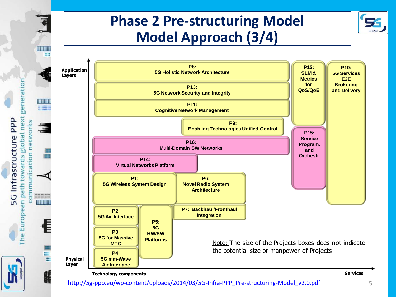### **Phase 2 Pre-structuring Model Model Approach (3/4)**



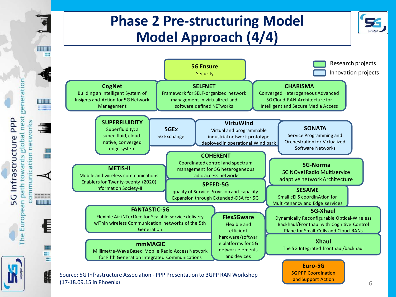### **Phase 2 Pre-structuring Model Model Approach (4/4)**



(17-18.09.15 in Phoenix)

**HIMI** 

generation

The European path towards global next

ommunication networks

**EEEEEEEEEEEE** 

Ħ

5G Infrastructure PPP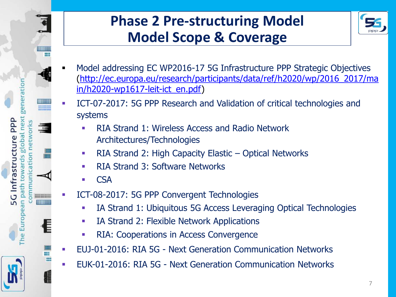

## **Phase 2 Pre-structuring Model Model Scope & Coverage**



- Model addressing EC WP2016-17 5G Infrastructure PPP Strategic Objectives [\(http://ec.europa.eu/research/participants/data/ref/h2020/wp/2016\\_2017/ma](http://ec.europa.eu/research/participants/data/ref/h2020/wp/2016_2017/main/h2020-wp1617-leit-ict_en.pdf) [in/h2020-wp1617-leit-ict\\_en.pdf\)](http://ec.europa.eu/research/participants/data/ref/h2020/wp/2016_2017/main/h2020-wp1617-leit-ict_en.pdf)
- ICT-07-2017: 5G PPP Research and Validation of critical technologies and systems
	- RIA Strand 1: Wireless Access and Radio Network Architectures/Technologies
	- RIA Strand 2: High Capacity Elastic Optical Networks
	- RIA Strand 3: Software Networks
	- **CSA**
- ICT-08-2017: 5G PPP Convergent Technologies
	- **IA Strand 1: Ubiquitous 5G Access Leveraging Optical Technologies**
	- **IA Strand 2: Flexible Network Applications**
	- **RIA: Cooperations in Access Convergence**
- EUJ-01-2016: RIA 5G Next Generation Communication Networks
- EUK-01-2016: RIA 5G Next Generation Communication Networks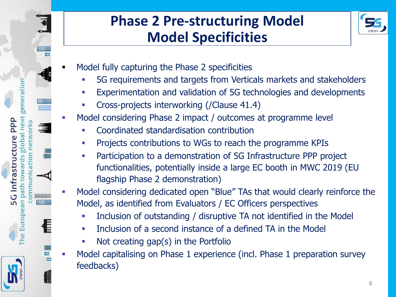### **Phase 2 Pre-structuring Model Model Specificities**



Model fully capturing the Phase 2 specificities

PPP nex

G Infrastructur

path

Euro

ne<br>C

tio  $\overline{\sigma}$ 

**ESSESSEE** 

- 5G requirements and targets from Verticals markets and stakeholders
- Experimentation and validation of 5G technologies and developments
- Cross-projects interworking (/Clause 41.4)
- Model considering Phase 2 impact / outcomes at programme level
	- Coordinated standardisation contribution
	- **Projects contributions to WGs to reach the programme KPIs**
	- Participation to a demonstration of 5G Infrastructure PPP project functionalities, potentially inside a large EC booth in MWC 2019 (EU flagship Phase 2 demonstration)
- Model considering dedicated open "Blue" TAs that would clearly reinforce the Model, as identified from Evaluators / EC Officers perspectives
	- Inclusion of outstanding / disruptive TA not identified in the Model
	- **Inclusion of a second instance of a defined TA in the Model**
	- Not creating gap(s) in the Portfolio
- Model capitalising on Phase 1 experience (incl. Phase 1 preparation survey feedbacks)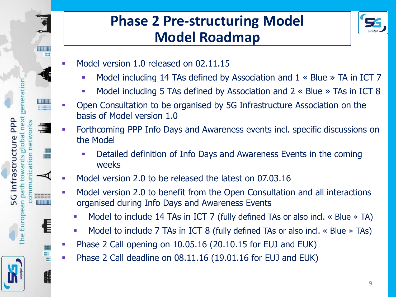



Model version 1.0 released on 02.11.15

<u>c</u>

ntrastru

Eur ne

- Model including 14 TAs defined by Association and 1 « Blue » TA in ICT 7
- Model including 5 TAs defined by Association and 2 « Blue » TAs in ICT 8
- Open Consultation to be organised by 5G Infrastructure Association on the basis of Model version 1.0
- Forthcoming PPP Info Days and Awareness events incl. specific discussions on the Model
	- Detailed definition of Info Days and Awareness Events in the coming weeks
- Model version 2.0 to be released the latest on 07.03.16
- Model version 2.0 to benefit from the Open Consultation and all interactions organised during Info Days and Awareness Events
	- Model to include 14 TAs in ICT 7 (fully defined TAs or also incl. « Blue » TA)
	- **Model to include 7 TAs in ICT 8 (fully defined TAs or also incl.**  $\ll$  Blue  $\gg$  TAs)
- Phase 2 Call opening on 10.05.16 (20.10.15 for EUJ and EUK)
- Phase 2 Call deadline on 08.11.16 (19.01.16 for EUJ and EUK)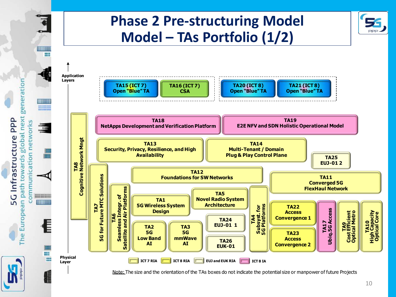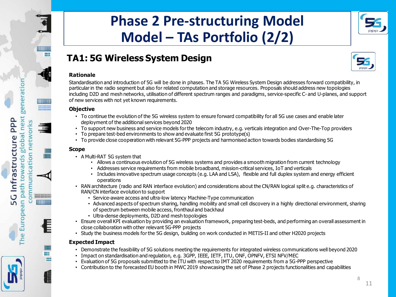

#### **TA1: 5G Wireless System Design**

#### **Rationale**

Standardisation and introduction of 5G will be done in phases. The TA 5G Wireless System Design addresses forward compatibility, in particular in the radio segment but also for related computation and storage resources. Proposals should address new topologies including D2D and mesh networks, utilisation of different spectrum ranges and paradigms, service-specific C- and U-planes, and support of new services with not yet known requirements.

#### **Objective**

generatio

next **PPP** 

plobal

path towards

he European

**G** Infrastructure

munication networks

**DECO** 

**EEEEEEEEEEEE** 

- To continue the evolution of the 5G wireless system to ensure forward compatibility for all 5G use cases and enable later deployment of the additional services beyond 2020
- To support new business and service models for the telecom industry, e.g. verticals integration and Over-The-Top providers
- To prepare test-bed environments to show and evaluate first 5G prototype(s)
- To provide close cooperation with relevant 5G-PPP projects and harmonised action towards bodies standardising 5G

#### **Scope**

- A Multi-RAT 5G system that
	- Allows a continuous evolution of 5G wireless systems and provides a smooth migration from current technology
	- Addresses service requirements from mobile broadband, mission-critical services, IoT and verticals
	- Includes innovative spectrum usage concepts (e.g. LAA and LSA), flexible and full duplex system and energy efficient operations
- RAN architecture (radio and RAN interface evolution) and considerations about the CN/RAN logical split e.g. characteristics of RAN/CN interface evolution to support
	- Service-aware access and ultra-low latency Machine-Type communication
	- Advanced aspects of spectrum sharing, handling mobility and small cell discovery in a highly directional environment, sharing of spectrum between mobile access, fronthaul and backhaul
	- Ultra-dense deployments, D2D and mesh topologies
- Ensure overall KPI evaluation by providing an evaluation framework, preparing test-beds, and performing an overall assessment in close collaboration with other relevant 5G-PPP projects<br>
 Study the business models for th close collaboration with other relevant 5G-PPP projects • Service-aware access and ultra-low latency Machine-Type communication<br>
• Advanced aspects of spectrum sharing, handling mobility and small cell discovery in a highly directional env<br>
of spectrum between mobile access, fr
- 

#### **Expected Impact**

- Demonstrate the feasibility of 5G solutions meeting the requirements for integrated wireless communications well beyond 2020
- 
- Evaluation of 5G proposals submitted to the ITU with respect to IMT 2020 requirements from a 5G-PPP perspective
- Contribution to the forecasted EU booth in MWC 2019 showcasing the set of Phase 2 projects functionalities and capabilities

8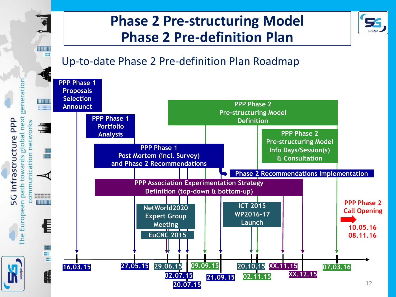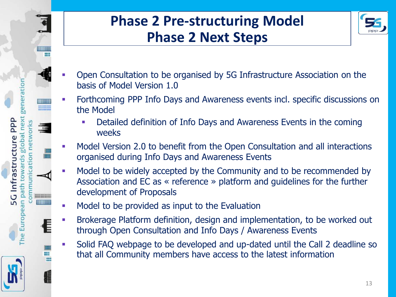

## **Phase 2 Pre-structuring Model Phase 2 Next Steps**



- Open Consultation to be organised by 5G Infrastructure Association on the basis of Model Version 1.0
- Forthcoming PPP Info Days and Awareness events incl. specific discussions on the Model
	- Detailed definition of Info Days and Awareness Events in the coming weeks
- Model Version 2.0 to benefit from the Open Consultation and all interactions organised during Info Days and Awareness Events
- Model to be widely accepted by the Community and to be recommended by Association and EC as « reference » platform and guidelines for the further development of Proposals
- **Model to be provided as input to the Evaluation**
- **Brokerage Platform definition, design and implementation, to be worked out** through Open Consultation and Info Days / Awareness Events
- Solid FAQ webpage to be developed and up-dated until the Call 2 deadline so that all Community members have access to the latest information